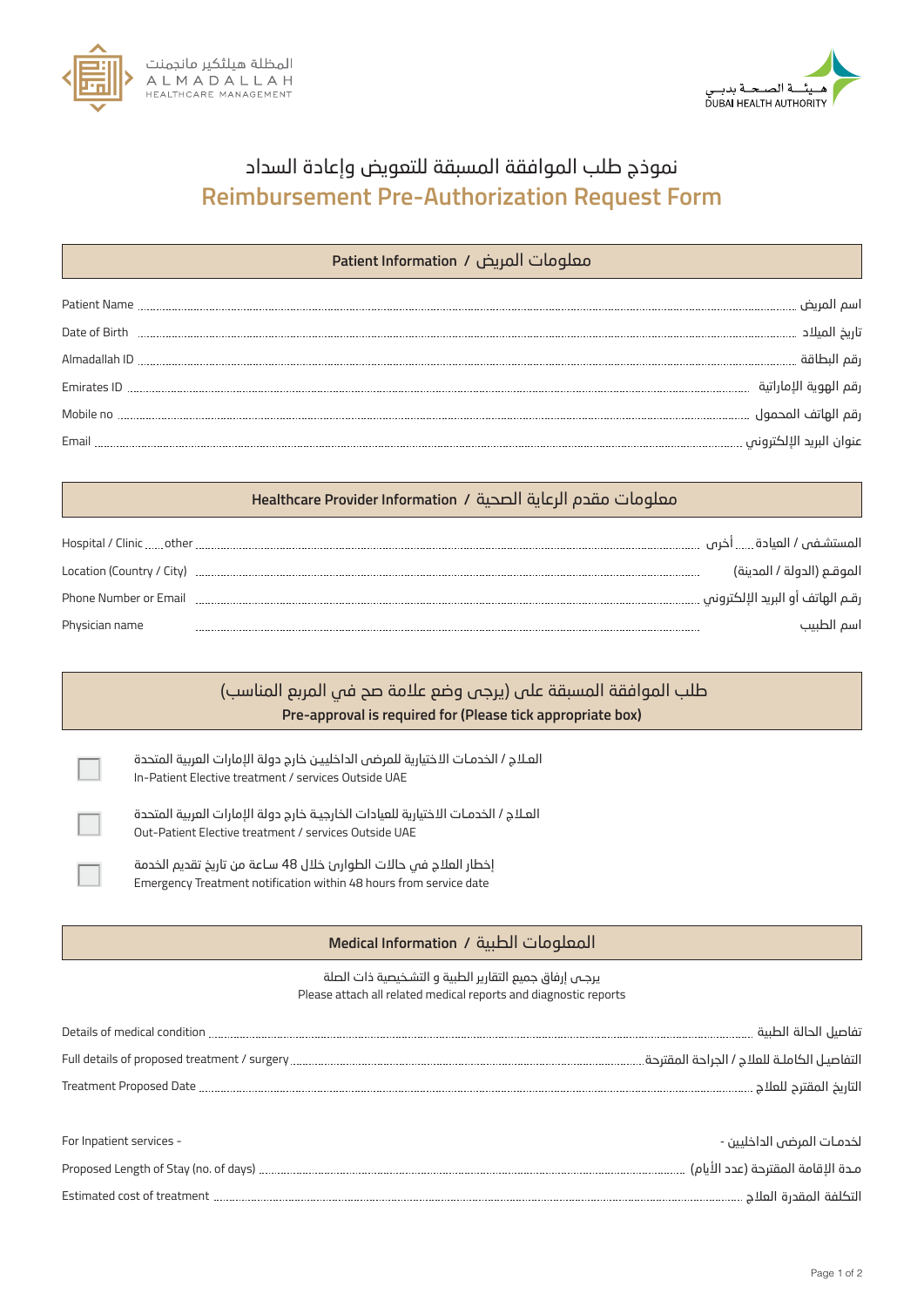



## نموذج طلب الموافقة المسبقة للتعويض وإعادة السداد **Reimbursement Pre-Authorization Request Form**

## معلومات الم��ض **/ Information Patient**

| Date of Birth      |  |
|--------------------|--|
|                    |  |
| <b>Emirates ID</b> |  |
|                    |  |
|                    |  |

## معلومات مقدم الرعاية الصحية **/ Information Provider Healthcare**

| Hospital / Clinic  other  | المستشـفـ / العيادة …… أخرى         |
|---------------------------|-------------------------------------|
| Location (Country / City) | الموقــم (الدولة / المدينة)         |
| Phone Number or Email     | رقـم الهاتف أو البريد الإلكتروني …. |
| Physician name            | اسم الطبيب                          |

## المعلومات الط�ية **/ Information Medical** Details of medical condition تفاصيل الحالة الط�ية Full details of proposed treatment / surgery التفاصيـل الكاملـة للعلاج / الج�احة المقترحة Treatment Proposed Date التا��خ المقت�ح للعلاج For Inpatient services - لخدمـات المرضى الداخليين -**Pre-approval is required for (Please tick appropriate box)** طلب الموافقة المسبقة على (�رجى وضع علامة صح في المربع المناسب) ء In-Patient Elective treatment / services Outside UAE العـلاج / الخدمـات الاختيارية للمرضى الداخليـين خارج دولة الإمارات العربية المتحدة Out-Patient Elective treatment / services Outside UAE العـلاج / الخدمـات الاختيارية للعيادات الخارجيـة خارج دولة الإمارات العربية المتحدة Please attach all related medical reports and diagnostic reports Emergency Treatment notification within 48 hours from service date إخطار العلاج في حالات الطوارئ خلال 48 سـاعة من تاريخ تقديم الخدمة يرجـى إرفاق جميع التقارير الطبية و التشـخيصية ذات الصلة

| Proposed Length of Stay (no. of days)<br>. | م ده ۱۱۱ وروان دور اعدد ۱ |
|--------------------------------------------|---------------------------|
| Estimated cost of treatment                |                           |